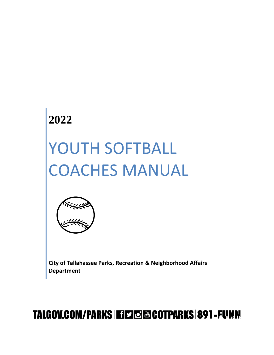# **2022**

# YOUTH SOFTBALL COACHES MANUAL



**City of Tallahassee Parks, Recreation & Neighborhood Affairs Department**

# TALGOV.COM/PARKS | EISTO ESCOTPARKS | 891 - FUNN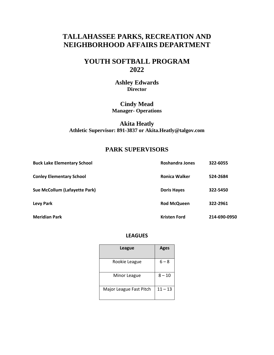# **TALLAHASSEE PARKS, RECREATION AND NEIGHBORHOOD AFFAIRS DEPARTMENT**

# **YOUTH SOFTBALL PROGRAM 2022**

# **Ashley Edwards Director**

# **Cindy Mead Manager- Operations**

# **Akita Heatly Athletic Supervisor: 891-3837 or Akita.Heatly@talgov.com**

# **PARK SUPERVISORS**

| <b>Buck Lake Elementary School</b> | Roshandra Jones     | 322-6055     |
|------------------------------------|---------------------|--------------|
| <b>Conley Elementary School</b>    | Ronica Walker       | 524-2684     |
| Sue McCollum (Lafayette Park)      | <b>Doris Hayes</b>  | 322-5450     |
| <b>Levy Park</b>                   | <b>Rod McQueen</b>  | 322-2961     |
| <b>Meridian Park</b>               | <b>Kristen Ford</b> | 214-690-0950 |

## **LEAGUES**

| <b>League</b>           | <b>Ages</b> |
|-------------------------|-------------|
| Rookie League           | $6 - 8$     |
| Minor League            | $8 - 10$    |
| Major League Fast Pitch | $11 - 13$   |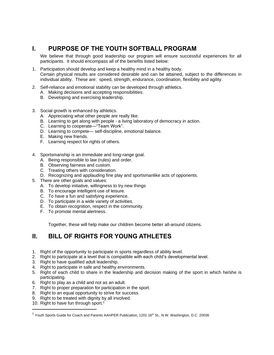# **I. PURPOSE OF THE YOUTH SOFTBALL PROGRAM**

We believe that through good leadership our program will ensure successful experiences for all participants. It should encompass all of the benefits listed below:

- 1. Participation should develop and keep a healthy mind in a healthy body. Certain physical results are considered desirable and can be attained, subject to the differences in individual ability. These are: speed, strength, endurance, coordination, flexibility and agility.
- 2. Self-reliance and emotional stability can be developed through athletics.
	- A. Making decisions and accepting responsibilities.
	- B. Developing and exercising leadership.
- 3. Social growth is enhanced by athletics.
	- A. Appreciating what other people are really like.
	- B. Learning to get along with people a living laboratory of democracy in action.
	- C. Learning to cooperate—"Team Work".
	- D. Learning to compete— self-discipline, emotional balance.
	- E. Making new friends.
	- F. Learning respect for rights of others.
- 4. Sportsmanship is an immediate and long-range goal.
	- A. Being responsible to law (rules) and order.
	- B. Observing fairness and custom.
	- C. Treating others with consideration.
	- D. Recognizing and applauding fine play and sportsmanlike acts of opponents.
- 5. There are other goals and values:
	- A. To develop initiative, willingness to try new things
	- B. To encourage intelligent use of leisure.
	- C. To have a fun and satisfying experience.
	- D. To participate in a wide variety of activities.
	- E. To obtain recognition, respect in the community.
	- F. To promote mental alertness.

Together, these will help make our children become better all-around citizens.

# **II. BILL OF RIGHTS FOR YOUNG ATHLETES**

- 1. Right of the opportunity to participate in sports regardless of ability level.
- 2. Right to participate at a level that is compatible with each child's developmental level.
- 3. Right to have qualified adult leadership.
- 4. Right to participate in safe and healthy environments.
- 5. Right of each child to share in the leadership and decision making of the sport in which he/she is participating.
- 6. Right to play as a child and not as an adult.
- 7. Right to proper preparation for participation in the sport.
- 8. Right to an equal opportunity to strive for success.
- 9. Right to be treated with dignity by all involved.
- 10. Right to have fun through sport.<sup>1</sup>

<sup>&</sup>lt;sup>1</sup> Youth Sports Guide for Coach and Parents AAHPER Publication, 1201 16<sup>th</sup> St., N.W. Washington, D.C. 20036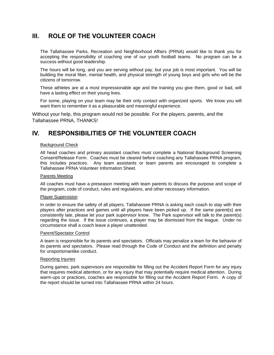# **III. ROLE OF THE VOLUNTEER COACH**

The Tallahassee Parks, Recreation and Neighborhood Affairs (PRNA) would like to thank you for accepting the responsibility of coaching one of our youth football teams. No program can be a success without good leadership.

The hours will be long, and you are serving without pay, but your job is most important. You will be building the moral fiber, mental health, and physical strength of young boys and girls who will be the citizens of tomorrow.

These athletes are at a most impressionable age and the training you give them, good or bad, will have a lasting effect on their young lives.

For some, playing on your team may be their only contact with organized sports. We know you will want them to remember it as a pleasurable and meaningful experience.

Without your help, this program would not be possible. For the players, parents, and the Tallahassee PRNA, THANKS!

# **IV. RESPONSIBILITIES OF THE VOLUNTEER COACH**

#### Background Check

All head coaches and primary assistant coaches must complete a National Background Screening Consent/Release Form. Coaches must be cleared before coaching any Tallahassee PRNA program, this includes practices. Any team assistants or team parents are encouraged to complete a Tallahassee PRNA Volunteer Information Sheet.

#### Parents Meeting

All coaches must have a preseason meeting with team parents to discuss the purpose and scope of the program, code of conduct, rules and regulations, and other necessary information.

#### Player Supervision

In order to ensure the safety of all players, Tallahassee PRNA is asking each coach to stay with their players after practices and games until all players have been picked up. If the same parent(s) are consistently late, please let your park supervisor know. The Park supervisor will talk to the parent(s) regarding the issue. If the issue continues, a player may be dismissed from the league. Under no circumstance shall a coach leave a player unattended.

#### Parent/Spectator Control

A team is responsible for its parents and spectators. Officials may penalize a team for the behavior of its parents and spectators. Please read through the Code of Conduct and the definition and penalty for unsportsmanlike conduct.

#### Reporting Injuries

During games, park supervisors are responsible for filling out the Accident Report Form for any injury that requires medical attention, or for any injury that may potentially require medical attention. During warm-ups or practices, coaches are responsible for filling out the Accident Report Form. A copy of the report should be turned into Tallahassee PRNA within 24 hours.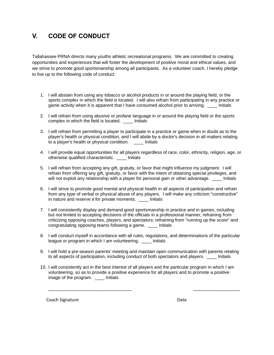# **V. CODE OF CONDUCT**

Tallahassee PRNA directs many youths athletic recreational programs. We are committed to creating opportunities and experiences that will foster the development of positive moral and ethical values, and we strive to promote good sportsmanship among all participants. As a volunteer coach, I hereby pledge to live up to the following code of conduct:

- 1. I will abstain from using any tobacco or alcohol products in or around the playing field, or the sports complex in which the field is located. I will also refrain from participating in any practice or game activity when it is apparent that I have consumed alcohol prior to arriving. \_\_\_\_ Initials
- 2. I will refrain from using abusive or profane language in or around the playing field or the sports complex in which the field is located. \_\_\_\_ Initials
- 3. I will refrain from permitting a player to participate in a practice or game when in doubt as to the player's health or physical condition, and I will abide by a doctor's decision in all matters relating to a player's health or physical condition. \_\_\_\_ Initials
- 4. I will provide equal opportunities for all players regardless of race, color, ethnicity, religion, age, or otherwise qualified characteristic. \_\_\_\_ Initials
- 5. I will refrain from accepting any gift, gratuity, or favor that might influence my judgment. I will refrain from offering any gift, gratuity, or favor with the intent of obtaining special privileges, and will not exploit any relationship with a player for personal gain or other advantage. Thitials
- 6. I will strive to promote good mental and physical health in all aspects of participation and refrain from any type of verbal or physical abuse of any players. I will make any criticism "constructive" in nature and reserve it for private moments. \_\_\_\_ Initials
- 7. I will consistently display and demand good sportsmanship in practice and in games, including but not limited to accepting decisions of the officials in a professional manner; refraining from criticizing opposing coaches, players, and spectators; refraining from "running up the score" and congratulating opposing teams following a game. \_\_\_\_ Initials
- 8. I will conduct myself in accordance with all rules, regulations, and determinations of the particular league or program in which I am volunteering. \_\_\_\_ Initials
- 9. I will hold a pre-season parents' meeting and maintain open communication with parents relating to all aspects of participation, including conduct of both spectators and players. \_\_\_\_ Initials
- 10. I will consistently act in the best interest of all players and the particular program in which I am volunteering, so as to provide a positive experience for all players and to promote a positive image of the program. \_\_\_\_ Initials

\_\_\_\_\_\_\_\_\_\_\_\_\_\_\_\_\_\_\_\_\_\_\_\_\_\_\_\_\_\_\_\_\_\_ \_\_\_\_\_\_\_\_\_\_\_\_\_\_\_\_\_\_\_

Coach Signature Date Date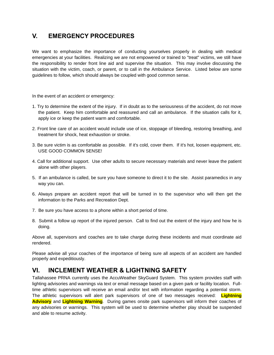# **V. EMERGENCY PROCEDURES**

We want to emphasize the importance of conducting yourselves properly in dealing with medical emergencies at your facilities. Realizing we are not empowered or trained to "treat" victims, we still have the responsibility to render front line aid and supervise the situation. This may involve discussing the situation with the victim, coach, or parent, or to call in the Ambulance Service. Listed below are some guidelines to follow, which should always be coupled with good common sense.

In the event of an accident or emergency:

- 1. Try to determine the extent of the injury. If in doubt as to the seriousness of the accident, do not move the patient. Keep him comfortable and reassured and call an ambulance. If the situation calls for it, apply ice or keep the patient warm and comfortable.
- 2. Front line care of an accident would include use of ice, stoppage of bleeding, restoring breathing, and treatment for shock, heat exhaustion or stroke.
- 3. Be sure victim is as comfortable as possible. If it's cold, cover them. If it's hot, loosen equipment, etc. USE GOOD COMMON SENSE!
- 4. Call for additional support. Use other adults to secure necessary materials and never leave the patient alone with other players.
- 5. If an ambulance is called, be sure you have someone to direct it to the site. Assist paramedics in any way you can.
- 6. Always prepare an accident report that will be turned in to the supervisor who will then get the information to the Parks and Recreation Dept.
- 7. Be sure you have access to a phone within a short period of time.
- 8. Submit a follow up report of the injured person. Call to find out the extent of the injury and how he is doing.

Above all, supervisors and coaches are to take charge during these incidents and must coordinate aid rendered.

Please advise all your coaches of the importance of being sure all aspects of an accident are handled properly and expeditiously.

# **VI. INCLEMENT WEATHER & LIGHTNING SAFETY**

Tallahassee PRNA currently uses the AccuWeather SkyGuard System. This system provides staff with lighting advisories and warnings via text or email message based on a given park or facility location. Fulltime athletic supervisors will receive an email and/or text with information regarding a potential storm. The athletic supervisors will alert park supervisors of one of two messages received: **Lightning Advisory** and **Lightning Warning**. During games onsite park supervisors will inform their coaches of any advisories or warnings. This system will be used to determine whether play should be suspended and able to resume activity.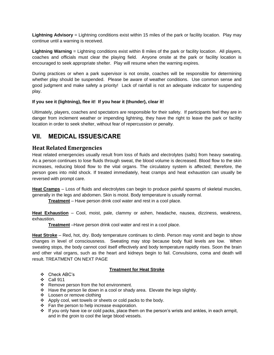**Lightning Advisory** = Lightning conditions exist within 15 miles of the park or facility location. Play may continue until a warning is received.

**Lightning Warning** = Lightning conditions exist within 8 miles of the park or facility location. All players, coaches and officials must clear the playing field. Anyone onsite at the park or facility location is encouraged to seek appropriate shelter. Play will resume when the warning expires.

During practices or when a park supervisor is not onsite, coaches will be responsible for determining whether play should be suspended. Please be aware of weather conditions. Use common sense and good judgment and make safety a priority! Lack of rainfall is not an adequate indicator for suspending play.

#### **If you see it (lightning), flee it! If you hear it (thunder), clear it!**

Ultimately, players, coaches and spectators are responsible for their safety. If participants feel they are in danger from inclement weather or impending lightning, they have the right to leave the park or facility location in order to seek shelter, without fear of repercussion or penalty.

# **VII. MEDICAL ISSUES/CARE**

# **Heat Related Emergencies**

Heat related emergencies usually result from loss of fluids and electrolytes (salts) from heavy sweating. As a person continues to lose fluids through sweat, the blood volume is decreased. Blood flow to the skin increases, reducing blood flow to the vital organs. The circulatory system is affected; therefore, the person goes into mild shock. If treated immediately, heat cramps and heat exhaustion can usually be reversed with prompt care.

**Heat Cramps** – Loss of fluids and electrolytes can begin to produce painful spasms of skeletal muscles, generally in the legs and abdomen. Skin is moist. Body temperature is usually normal.

**Treatment** – Have person drink cool water and rest in a cool place.

**Heat Exhaustion** – Cool, moist, pale, clammy or ashen, headache, nausea, dizziness, weakness, exhaustion.

**Treatment** –Have person drink cool water and rest in a cool place.

**Heat Stroke** – Red, hot, dry. Body temperature continues to climb. Person may vomit and begin to show changes in level of consciousness. Sweating may stop because body fluid levels are low. When sweating stops, the body cannot cool itself effectively and body temperature rapidly rises. Soon the brain and other vital organs, such as the heart and kidneys begin to fail. Convulsions, coma and death will result. TREATMENT ON NEXT PAGE

## **Treatment for Heat Stroke**

- ❖ Check ABC's
- ❖ Call 911
- ❖ Remove person from the hot environment.
- ❖ Have the person lie down in a cool or shady area. Elevate the legs slightly.
- ❖ Loosen or remove clothing
- ❖ Apply cool, wet towels or sheets or cold packs to the body.
- ❖ Fan the person to help increase evaporation.
- ❖ If you only have ice or cold packs, place them on the person's wrists and ankles, in each armpit, and in the groin to cool the large blood vessels.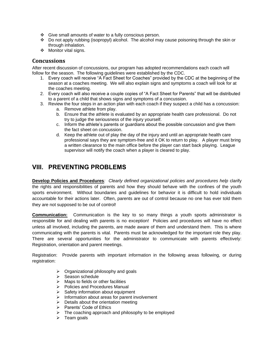- ❖ Give small amounts of water to a fully conscious person.
- ❖ Do not apply rubbing (isopropyl) alcohol. The alcohol may cause poisoning through the skin or through inhalation.
- ❖ Monitor vital signs.

# **Concussions**

After recent discussion of concussions, our program has adopted recommendations each coach will follow for the season. The following guidelines were established by the CDC.

- 1. Every coach will receive "A Fact Sheet for Coaches" provided by the CDC at the beginning of the season at a coaches meeting. We will also explain signs and symptoms a coach will look for at the coaches meeting.
- 2. Every coach will also receive a couple copies of "A Fact Sheet for Parents" that will be distributed to a parent of a child that shows signs and symptoms of a concussion.
- 3. Review the four steps in an action plan with each coach if they suspect a child has a concussion:
	- a. Remove athlete from play.
	- b. Ensure that the athlete is evaluated by an appropriate health care professional. Do not try to judge the seriousness of the injury yourself.
	- c. Inform the athlete's parents or guardians about the possible concussion and give them the fact sheet on concussion.
	- d. Keep the athlete out of play the day of the injury and until an appropriate health care professional says they are symptom-free and it OK to return to play. A player must bring a written clearance to the main office before the player can start back playing. League supervisor will notify the coach when a player is cleared to play.

# **VIII. PREVENTING PROBLEMS**

**Develop Policies and Procedures***: Clearly defined organizational policies and procedures help* clarify the rights and responsibilities of parents and how they should behave with the confines of the youth sports environment. Without boundaries and guidelines for behavior it is difficult to hold individuals accountable for their actions later. Often, parents are out of control because no one has ever told them they are not supposed to be out of control!

**Communication:** Communication is the key to so many things a youth sports administrator is responsible for and dealing with parents is no exception! Policies and procedures will have no effect unless all involved, including the parents, are made aware of them and understand them. This is where communicating with the parents is vital. Parents must be acknowledged for the important role they play. There are several opportunities for the administrator to communicate with parents effectively: Registration, orientation and parent meetings.

Registration: Provide parents with important information in the following areas following, or during registration:

- ➢ Organizational philosophy and goals
- ➢ Season schedule
- $\triangleright$  Maps to fields or other facilities
- ➢ Policies and Procedures Manual
- ➢ Safety information about equipment
- $\triangleright$  Information about areas for parent involvement
- $\triangleright$  Details about the orientation meeting
- ➢ Parents' Code of Ethics
- ➢ The coaching approach and philosophy to be employed
- ➢ Team goals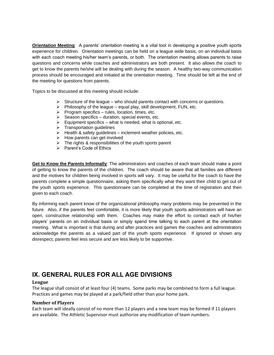**Orientation Meeting**: A parents' orientation meeting is a vital tool in developing a positive youth sports experience for children. Orientation meetings can be held on a league wide basis, on an individual basis with each coach meeting his/her team's parents, or both. The orientation meeting allows parents to raise questions and concerns while coaches and administrators are both present. It also allows the coach to get to know the parents he/she will be dealing with during the season. A healthy two-way communication process should be encouraged and initiated at the orientation meeting. Time should be left at the end of the meeting for questions from parents.

Topics to be discussed at this meeting should include:

- $\triangleright$  Structure of the league who should parents contact with concerns or questions.
- $\triangleright$  Philosophy of the league equal play, skill development, FUN, etc.
- $\triangleright$  Program specifics rules, location, times, etc.
- $\triangleright$  Season specifics duration, special events, etc.
- $\triangleright$  Equipment specifics what is needed, what is optional, etc.
- ➢ Transportation guidelines
- ➢ Health & safety guidelines inclement weather policies, etc.
- ➢ How parents can get involved
- $\triangleright$  The rights & responsibilities of the youth sports parent
- ➢ Parent's Code of Ethics

**Get to Know the Parents Informally**: The administrators and coaches of each team should make a point of getting to know the parents of the children. The coach should be aware that all families are different and the motives for children being involved in sports will vary. It may be useful for the coach to have the parents complete a simple questionnaire, asking them specifically what they want their child to get out of the youth sports experience. This questionnaire can be completed at the time of registration and then given to each coach.

By informing each parent know of the organizational philosophy many problems may be prevented in the future. Also, if the parents feel comfortable, it is more likely that youth sports administrators will have an open, constructive relationship with them. Coaches may make the effort to contact each of his/her players' parents on an individual basis or simply spend time talking to each parent at the orientation meeting. What is important is that during and after practices and games the coaches and administrators acknowledge the parents as a valued part of the youth sports experience. If ignored or shown any disrespect, parents feel less secure and are less likely to be supportive.

# **IX. GENERAL RULES FOR ALL AGE DIVISIONS**

#### **League**

The league shall consist of at least four (4) teams. Some parks may be combined to form a full league. Practices and games may be played at a park/field other than your home park.

#### **Number of Players**

Each team will ideally consist of no more than 12 players and a new team may be formed if 11 players are available. The Athletic Supervisor must authorize any modification of team numbers.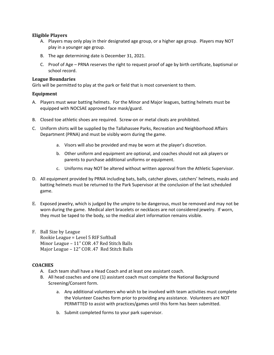#### **Eligible Players**

- A. Players may only play in their designated age group, or a higher age group. Players may NOT play in a younger age group.
- B. The age determining date is December 31, 2021.
- C. Proof of Age PRNA reserves the right to request proof of age by birth certificate, baptismal or school record.

#### **League Boundaries**

Girls will be permitted to play at the park or field that is most convenient to them.

#### **Equipment**

- A. Players must wear batting helmets. For the Minor and Major leagues, batting helmets must be equipped with NOCSAE approved face mask/guard.
- B. Closed toe athletic shoes are required. Screw-on or metal cleats are prohibited.
- C. Uniform shirts will be supplied by the Tallahassee Parks, Recreation and Neighborhood Affairs Department (PRNA) and must be visibly worn during the game.
	- a. Visors will also be provided and may be worn at the player's discretion.
	- b. Other uniform and equipment are optional, and coaches should not ask players or parents to purchase additional uniforms or equipment.
	- c. Uniforms may NOT be altered without written approval from the Athletic Supervisor.
- D. All equipment provided by PRNA including bats, balls, catcher gloves, catchers' helmets, masks and batting helmets must be returned to the Park Supervisor at the conclusion of the last scheduled game.
- E. Exposed jewelry, which is judged by the umpire to be dangerous, must be removed and may not be worn during the game. Medical alert bracelets or necklaces are not considered jewelry. If worn, they must be taped to the body, so the medical alert information remains visible.
- F. Ball Size by League Rookie League = Level 5 RIF Softball Minor League – 11" COR .47 Red Stitch Balls Major League – 12" COR .47 Red Stitch Balls

## **COACHES**

- A. Each team shall have a Head Coach and at least one assistant coach.
- B. All head coaches and one (1) assistant coach must complete the National Background Screening/Consent form.
	- a. Any additional volunteers who wish to be involved with team activities must complete the Volunteer Coaches form prior to providing any assistance. Volunteers are NOT PERMITTED to assist with practices/games until this form has been submitted.
	- b. Submit completed forms to your park supervisor.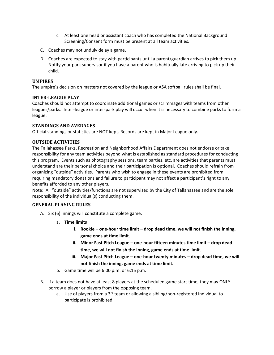- c. At least one head or assistant coach who has completed the National Background Screening/Consent form must be present at all team activities.
- C. Coaches may not unduly delay a game.
- D. Coaches are expected to stay with participants until a parent/guardian arrives to pick them up. Notify your park supervisor if you have a parent who is habitually late arriving to pick up their child.

#### **UMPIRES**

The umpire's decision on matters not covered by the league or ASA softball rules shall be final.

#### **INTER-LEAGUE PLAY**

Coaches should not attempt to coordinate additional games or scrimmages with teams from other leagues/parks. Inter-league or inter-park play will occur when it is necessary to combine parks to form a league.

#### **STANDINGS AND AVERAGES**

Official standings or statistics are NOT kept. Records are kept in Major League only.

#### **OUTSIDE ACTIVITIES**

The Tallahassee Parks, Recreation and Neighborhood Affairs Department does not endorse or take responsibility for any team activities beyond what is established as standard procedures for conducting this program. Events such as photography sessions, team parties, etc. are activities that parents must understand are their personal choice and their participation is optional. Coaches should refrain from organizing "outside" activities. Parents who wish to engage in these events are prohibited from requiring mandatory donations and failure to participant may not affect a participant's right to any benefits afforded to any other players.

Note: All "outside" activities/functions are not supervised by the City of Tallahassee and are the sole responsibility of the individual(s) conducting them.

## **GENERAL PLAYING RULES**

- A. Six (6) innings will constitute a complete game.
	- a. **Time limits** 
		- **i.** Rookie one-hour time limit drop dead time, we will not finish the inning, **game ends at time limit.**
		- **ii. Minor Fast Pitch League – one-hour fifteen minutes time limit – drop dead time, we will not finish the inning, game ends at time limit.**
		- **iii. Major Fast Pitch League – one-hour twenty minutes – drop dead time, we will not finish the inning, game ends at time limit.**
	- b. Game time will be 6:00 p.m. or 6:15 p.m.
- B. If a team does not have at least 8 players at the scheduled game start time, they may ONLY borrow a player or players from the opposing team.
	- a. Use of players from a  $3<sup>rd</sup>$  team or allowing a sibling/non-registered individual to participate is prohibited.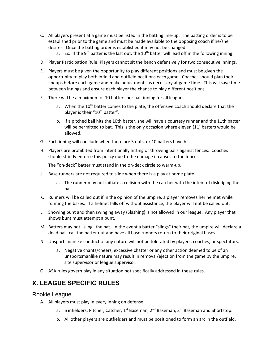- C. All players present at a game must be listed in the batting line-up. The batting order is to be established prior to the game and must be made available to the opposing coach if he/she desires. Once the batting order is established it may not be changed.
	- a. Ex: If the 9<sup>th</sup> batter is the last out, the  $10<sup>th</sup>$  batter will lead off in the following inning.
- D. Player Participation Rule: Players cannot sit the bench defensively for two consecutive innings.
- E. Players must be given the opportunity to play different positions and must be given the opportunity to play both infield and outfield positions each game. Coaches should plan their lineups before each game and make adjustments as necessary at game time. This will save time between innings and ensure each player the chance to play different positions.
- F. There will be a maximum of 10 batters per half inning for all leagues.
	- a. When the  $10^{th}$  batter comes to the plate, the offensive coach should declare that the player is their "10<sup>th</sup> batter".
	- b. If a pitched ball hits the 10th batter, she will have a courtesy runner and the 11th batter will be permitted to bat. This is the only occasion where eleven (11) batters would be allowed.
- G. Each inning will conclude when there are 3 outs, or 10 batters have hit.
- H. Players are prohibited from intentionally hitting or throwing balls against fences. Coaches should strictly enforce this policy due to the damage it causes to the fences.
- I. The "on-deck" batter must stand in the on-deck circle to warm-up.
- J. Base runners are not required to slide when there is a play at home plate.
	- a. The runner may not initiate a collision with the catcher with the intent of dislodging the ball.
- K. Runners will be called out if in the opinion of the umpire, a player removes her helmet while running the bases. If a helmet falls off without assistance, the player will not be called out.
- L. Showing bunt and then swinging away (Slashing) is not allowed in our league. Any player that shows bunt must attempt a bunt.
- M. Batters may not "sling" the bat. In the event a batter "slings" their bat, the umpire will declare a dead ball, call the batter out and have all base runners return to their original bases.
- N. Unsportsmanlike conduct of any nature will not be tolerated by players, coaches, or spectators.
	- a. Negative chants/cheers, excessive chatter or any other action deemed to be of an unsportsmanlike nature may result in removal/ejection from the game by the umpire, site supervisor or league supervisor.
- O. ASA rules govern play in any situation not specifically addressed in these rules.

# **X. LEAGUE SPECIFIC RULES**

## Rookie League

- A. All players must play in every inning on defense.
	- a. 6 infielders: Pitcher, Catcher, 1<sup>st</sup> Baseman, 2<sup>nd</sup> Baseman, 3<sup>rd</sup> Baseman and Shortstop.
	- b. All other players are outfielders and must be positioned to form an arc in the outfield.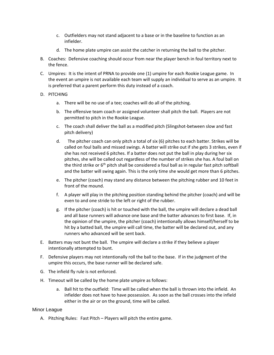- c. Outfielders may not stand adjacent to a base or in the baseline to function as an infielder.
- d. The home plate umpire can assist the catcher in returning the ball to the pitcher.
- B. Coaches: Defensive coaching should occur from near the player bench in foul territory next to the fence.
- C. Umpires: It is the intent of PRNA to provide one (1) umpire for each Rookie League game. In the event an umpire is not available each team will supply an individual to serve as an umpire. It is preferred that a parent perform this duty instead of a coach.
- D. PITCHING
	- a. There will be no use of a tee; coaches will do all of the pitching.
	- b. The offensive team coach or assigned volunteer shall pitch the ball. Players are not permitted to pitch in the Rookie League.
	- c. The coach shall deliver the ball as a modified pitch (Slingshot-between slow and fast pitch delivery)
	- d. The pitcher coach can only pitch a total of six (6) pitches to each batter. Strikes will be called on foul balls and missed swings. A batter will strike out if she gets 3 strikes, even if she has not received 6 pitches. If a batter does not put the ball in play during her six pitches, she will be called out regardless of the number of strikes she has. A foul ball on the third strike or  $6<sup>th</sup>$  pitch shall be considered a foul ball as in regular fast pitch softball and the batter will swing again. This is the only time she would get more than 6 pitches.
	- e. The pitcher (coach) may stand any distance between the pitching rubber and 10 feet in front of the mound.
	- f. A player will play in the pitching position standing behind the pitcher (coach) and will be even to and one stride to the left or right of the rubber.
	- g. If the pitcher (coach) is hit or touched with the ball, the umpire will declare a dead ball and all base runners will advance one base and the batter advances to first base. If, in the opinion of the umpire, the pitcher (coach) intentionally allows himself/herself to be hit by a batted ball, the umpire will call time, the batter will be declared out, and any runners who advanced will be sent back.
- E. Batters may not bunt the ball. The umpire will declare a strike if they believe a player intentionally attempted to bunt.
- F. Defensive players may not intentionally roll the ball to the base. If in the judgment of the umpire this occurs, the base runner will be declared safe.
- G. The infield fly rule is not enforced.
- H. Timeout will be called by the home plate umpire as follows:
	- a. Ball hit to the outfield: Time will be called when the ball is thrown into the infield. An infielder does not have to have possession. As soon as the ball crosses into the infield either in the air or on the ground, time will be called.

#### Minor League

A. Pitching Rules: Fast Pitch – Players will pitch the entire game.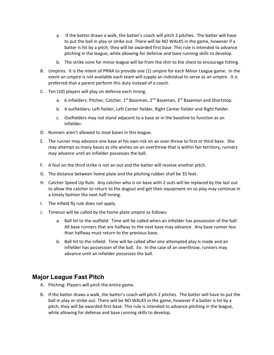- a. If the batter draws a walk, the batter's coach will pitch 2 pitches. The batter will have to put the ball in play or strike out. There will be NO WALKS in the game, however if a batter is hit by a pitch, they will be awarded first base. This rule is intended to advance pitching in the league, while allowing for defense and base running skills to develop.
- b. The strike zone for minor league will be from the shin to the chest to encourage hitting.
- B. Umpires: It is the intent of PRNA to provide one (1) umpire for each Minor League game. In the event an umpire is not available each team will supply an individual to serve as an umpire. It is preferred that a parent perform this duty instead of a coach.
- C. Ten (10) players will play on defense each inning.
	- a. 6 infielders: Pitcher, Catcher,  $1^{st}$  Baseman,  $2^{nd}$  Baseman,  $3^{rd}$  Baseman and Shortstop.
	- b. 4 outfielders: Left fielder, Left Center fielder, Right Center fielder and Right fielder.
	- c. Outfielders may not stand adjacent to a base or in the baseline to function as an infielder.
- D. Runners aren't allowed to steal bases in this league.
- E. The runner may advance one base at his own risk on an over-throw to first or third base. She may attempt as many bases as she wishes on an overthrow that is within fair territory, runners may advance until an infielder possesses the ball.
- F. A foul on the third strike is not an out and the batter will receive another pitch.
- G. The distance between home plate and the pitching rubber shall be 35 feet.
- H. Catcher Speed Up Rule: Any catcher who is on base with 2 outs will be replaced by the last out to allow the catcher to return to the dugout and get their equipment on so play may continue in a timely fashion the next half inning.
- I. The infield fly rule does not apply.
- J. Timeout will be called by the home plate umpire as follows:
	- a. Ball hit to the outfield: Time will be called when an infielder has possession of the ball. All base runners that are halfway to the next base may advance. Any base runner less than halfway must return to the previous base.
	- b. Ball hit to the infield: Time will be called after one attempted play is made and an infielder has possession of the ball. Ex: In the case of an overthrow, runners may advance until an infielder possesses the ball.

# **Major League Fast Pitch**

- A. Pitching: Players will pitch the entire game.
- B. If the batter draws a walk, the batter's coach will pitch 2 pitches. The batter will have to put the ball in play or strike out. There will be NO WALKS in the game, however if a batter is hit by a pitch, they will be awarded first base. This rule is intended to advance pitching in the league, while allowing for defense and base running skills to develop.